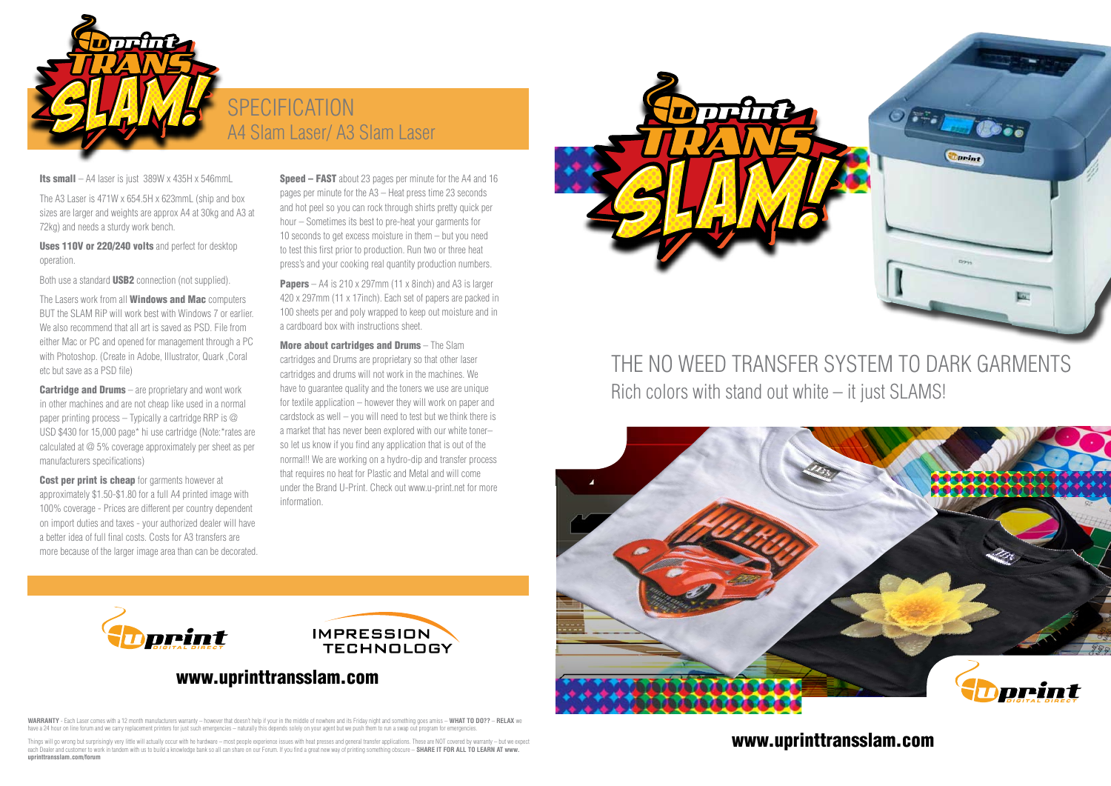### www.uprinttransslam.com

## THE NO WEED TRANSFER SYSTEM TO DARK GARMENTS Rich colors with stand out white – it just SLAMS!



Uses 110V or 220/240 volts and perfect for desktop operation.

Both use a standard **USB2** connection (not supplied).

The A3 Laser is 471W x 654.5H x 623mmL (ship and box sizes are larger and weights are approx A4 at 30kg and A3 at 72kg) and needs a sturdy work bench.

The Lasers work from all **Windows and Mac** computers BUT the SLAM RiP will work best with Windows 7 or earlier. We also recommend that all art is saved as PSD. File from either Mac or PC and opened for management through a PC with Photoshop. (Create in Adobe, Illustrator, Quark ,Coral etc but save as a PSD file)

**Cartridge and Drums**  $-$  are proprietary and wont work in other machines and are not cheap like used in a normal paper printing process – Typically a cartridge RRP is  $\oslash$ USD \$430 for 15,000 page\* hi use cartridge (Note:\*rates are calculated at @ 5% coverage approximately per sheet as per manufacturers specifications)

**Cost per print is cheap** for garments however at approximately \$1.50-\$1.80 for a full A4 printed image with 100% coverage - Prices are different per country dependent on import duties and taxes - your authorized dealer will have a better idea of full final costs. Costs for A3 transfers are more because of the larger image area than can be decorated.

print

**Speed – FAST** about 23 pages per minute for the A4 and 16 pages per minute for the A3 – Heat press time 23 seconds and hot peel so you can rock through shirts pretty quick per hour – Sometimes its best to pre-heat your garments for 10 seconds to get excess moisture in them – but you need to test this first prior to production. Run two or three heat press's and your cooking real quantity production numbers.

**Papers** – A4 is 210 x 297mm (11 x 8inch) and A3 is larger 420 x 297mm (11 x 17inch). Each set of papers are packed in 100 sheets per and poly wrapped to keep out moisture and in a cardboard box with instructions sheet.

**Warranty** - Each Laser comes with a 12 month manufacturers warranty – however that doesn't help if your in the middle of nowhere and its Friday night and something goes amiss – **What to do??** – **RELAX** we have a 24 hour on line forum and we carry replacement printers for just such emergencies – naturally this depends solely on your agent but we push them to run a swap out program for emergencies.



## **SPECIFICATION** A4 Slam Laser/ A3 Slam Laser

Its small – A4 laser is just  $389W \times 435H \times 546$ mmL

More about cartridges and Drums – The Slam cartridges and Drums are proprietary so that other laser cartridges and drums will not work in the machines. We have to guarantee quality and the toners we use are unique for textile application – however they will work on paper and cardstock as well – you will need to test but we think there is a market that has never been explored with our white toner– so let us know if you find any application that is out of the normal!! We are working on a hydro-dip and transfer process that requires no heat for Plastic and Metal and will come under the Brand U-Print. Check out www.u-print.net for more information.



Things will go wrong but surprisingly very little will actually occur with he hardware – most people experience issues with heat presses and general transfer applications. These are NOT covered by warranty – but we expect each Dealer and customer to work in tandem with us to build a knowledge bank so all can share on our Forum. If you find a great new way of printing something obscure – **SHARE IT FOR ALL TO LEARN AT www. uprinttransslam.com/forum**